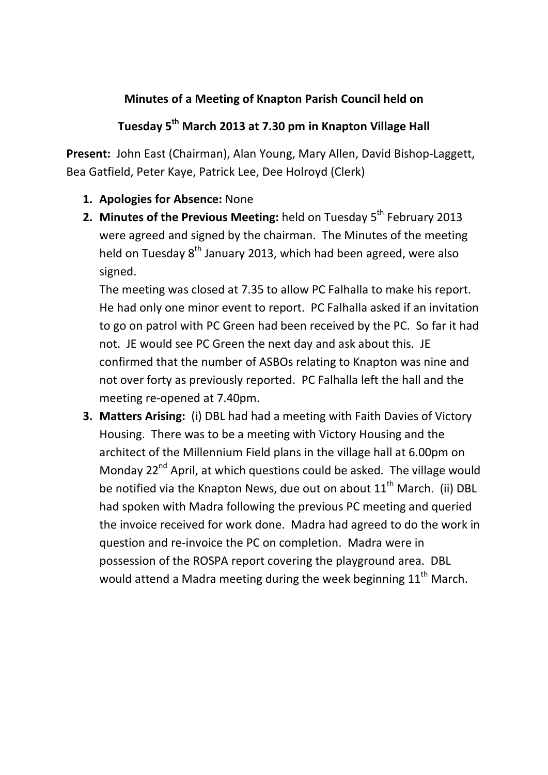## **Minutes of a Meeting of Knapton Parish Council held on**

## **Tuesday 5th March 2013 at 7.30 pm in Knapton Village Hall**

**Present:** John East (Chairman), Alan Young, Mary Allen, David Bishop-Laggett, Bea Gatfield, Peter Kaye, Patrick Lee, Dee Holroyd (Clerk)

- **1. Apologies for Absence:** None
- **2. Minutes of the Previous Meeting:** held on Tuesday 5<sup>th</sup> February 2013 were agreed and signed by the chairman. The Minutes of the meeting held on Tuesday  $8<sup>th</sup>$  January 2013, which had been agreed, were also signed.

The meeting was closed at 7.35 to allow PC Falhalla to make his report. He had only one minor event to report. PC Falhalla asked if an invitation to go on patrol with PC Green had been received by the PC. So far it had not. JE would see PC Green the next day and ask about this. JE confirmed that the number of ASBOs relating to Knapton was nine and not over forty as previously reported. PC Falhalla left the hall and the meeting re-opened at 7.40pm.

**3. Matters Arising:** (i) DBL had had a meeting with Faith Davies of Victory Housing. There was to be a meeting with Victory Housing and the architect of the Millennium Field plans in the village hall at 6.00pm on Monday 22<sup>nd</sup> April, at which questions could be asked. The village would be notified via the Knapton News, due out on about  $11<sup>th</sup>$  March. (ii) DBL had spoken with Madra following the previous PC meeting and queried the invoice received for work done. Madra had agreed to do the work in question and re-invoice the PC on completion. Madra were in possession of the ROSPA report covering the playground area. DBL would attend a Madra meeting during the week beginning  $11<sup>th</sup>$  March.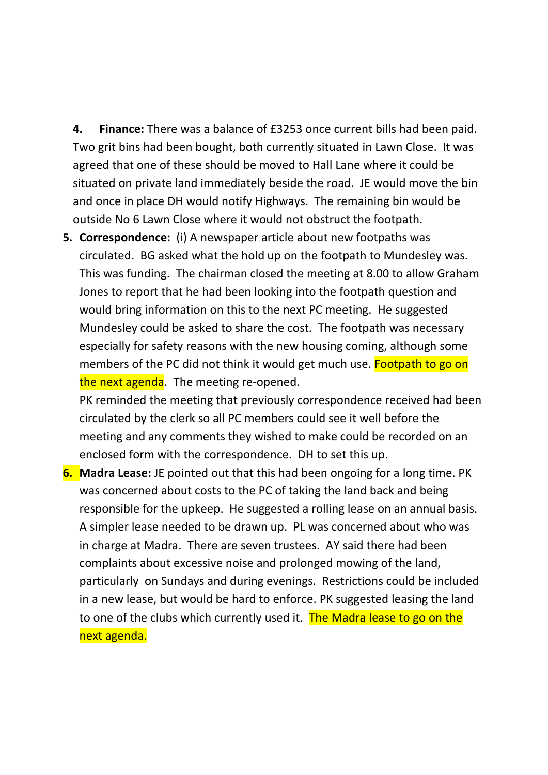**4. Finance:** There was a balance of £3253 once current bills had been paid. Two grit bins had been bought, both currently situated in Lawn Close. It was agreed that one of these should be moved to Hall Lane where it could be situated on private land immediately beside the road. JE would move the bin and once in place DH would notify Highways. The remaining bin would be outside No 6 Lawn Close where it would not obstruct the footpath.

**5. Correspondence:** (i) A newspaper article about new footpaths was circulated. BG asked what the hold up on the footpath to Mundesley was. This was funding. The chairman closed the meeting at 8.00 to allow Graham Jones to report that he had been looking into the footpath question and would bring information on this to the next PC meeting. He suggested Mundesley could be asked to share the cost. The footpath was necessary especially for safety reasons with the new housing coming, although some members of the PC did not think it would get much use. **Footpath to go on** the next agenda. The meeting re-opened.

PK reminded the meeting that previously correspondence received had been circulated by the clerk so all PC members could see it well before the meeting and any comments they wished to make could be recorded on an enclosed form with the correspondence. DH to set this up.

**6. Madra Lease:** JE pointed out that this had been ongoing for a long time. PK was concerned about costs to the PC of taking the land back and being responsible for the upkeep. He suggested a rolling lease on an annual basis. A simpler lease needed to be drawn up. PL was concerned about who was in charge at Madra. There are seven trustees. AY said there had been complaints about excessive noise and prolonged mowing of the land, particularly on Sundays and during evenings. Restrictions could be included in a new lease, but would be hard to enforce. PK suggested leasing the land to one of the clubs which currently used it. The Madra lease to go on the next agenda.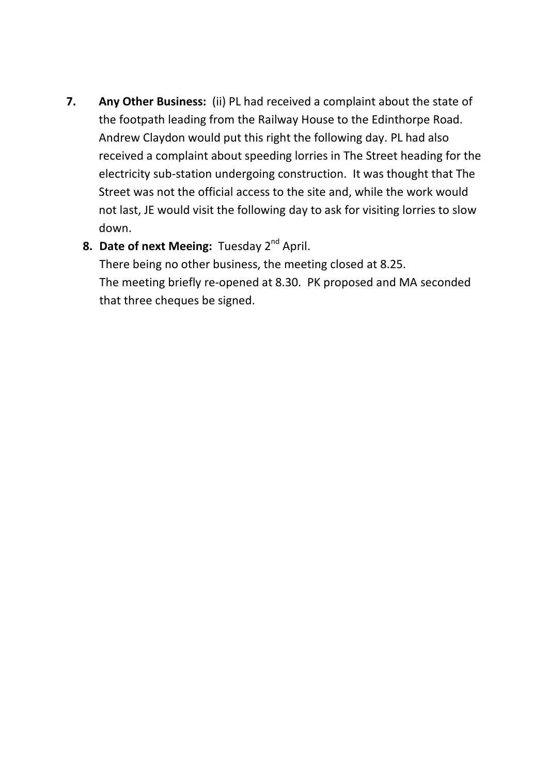**7. Any Other Business:** (ii) PL had received a complaint about the state of the footpath leading from the Railway House to the Edinthorpe Road. Andrew Claydon would put this right the following day. PL had also received a complaint about speeding lorries in The Street heading for the electricity sub-station undergoing construction. It was thought that The Street was not the official access to the site and, while the work would not last, JE would visit the following day to ask for visiting lorries to slow down.

## **8. Date of next Meeing:** Tuesday 2<sup>nd</sup> April.

There being no other business, the meeting closed at 8.25. The meeting briefly re-opened at 8.30. PK proposed and MA seconded that three cheques be signed.